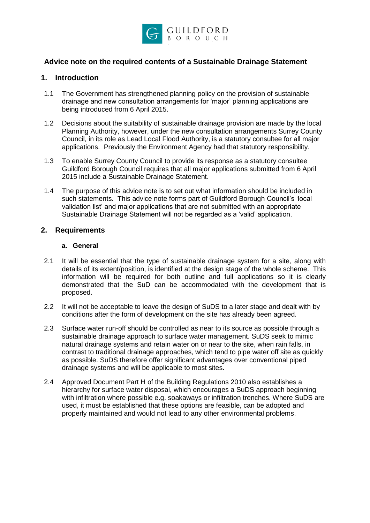

## **Advice note on the required contents of a Sustainable Drainage Statement**

## **1. Introduction**

- 1.1 The Government has strengthened planning policy on the provision of sustainable drainage and new consultation arrangements for 'major' planning applications are being introduced from 6 April 2015.
- 1.2 Decisions about the suitability of sustainable drainage provision are made by the local Planning Authority, however, under the new consultation arrangements Surrey County Council, in its role as Lead Local Flood Authority, is a statutory consultee for all major applications. Previously the Environment Agency had that statutory responsibility.
- 1.3 To enable Surrey County Council to provide its response as a statutory consultee Guildford Borough Council requires that all major applications submitted from 6 April 2015 include a Sustainable Drainage Statement.
- 1.4 The purpose of this advice note is to set out what information should be included in such statements. This advice note forms part of Guildford Borough Council's 'local validation list' and major applications that are not submitted with an appropriate Sustainable Drainage Statement will not be regarded as a 'valid' application.

## **2. Requirements**

#### **a. General**

- 2.1 It will be essential that the type of sustainable drainage system for a site, along with details of its extent/position, is identified at the design stage of the whole scheme.This information will be required for both outline and full applications so it is clearly demonstrated that the SuD can be accommodated with the development that is proposed.
- 2.2 It will not be acceptable to leave the design of SuDS to a later stage and dealt with by conditions after the form of development on the site has already been agreed.
- 2.3 Surface water run-off should be controlled as near to its source as possible through a sustainable drainage approach to surface water management. SuDS seek to mimic natural drainage systems and retain water on or near to the site, when rain falls, in contrast to traditional drainage approaches, which tend to pipe water off site as quickly as possible. SuDS therefore offer significant advantages over conventional piped drainage systems and will be applicable to most sites.
- 2.4 Approved Document Part H of the Building Regulations 2010 also establishes a hierarchy for surface water disposal, which encourages a SuDS approach beginning with infiltration where possible e.g. soakaways or infiltration trenches. Where SuDS are used, it must be established that these options are feasible, can be adopted and properly maintained and would not lead to any other environmental problems.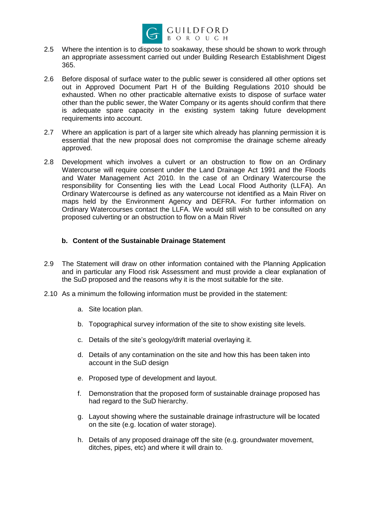

- 2.5 Where the intention is to dispose to soakaway, these should be shown to work through an appropriate assessment carried out under Building Research Establishment Digest 365.
- 2.6 Before disposal of surface water to the public sewer is considered all other options set out in Approved Document Part H of the Building Regulations 2010 should be exhausted. When no other practicable alternative exists to dispose of surface water other than the public sewer, the Water Company or its agents should confirm that there is adequate spare capacity in the existing system taking future development requirements into account.
- 2.7 Where an application is part of a larger site which already has planning permission it is essential that the new proposal does not compromise the drainage scheme already approved.
- 2.8 Development which involves a culvert or an obstruction to flow on an Ordinary Watercourse will require consent under the Land Drainage Act 1991 and the Floods and Water Management Act 2010. In the case of an Ordinary Watercourse the responsibility for Consenting lies with the Lead Local Flood Authority (LLFA). An Ordinary Watercourse is defined as any watercourse not identified as a Main River on maps held by the Environment Agency and DEFRA. For further information on Ordinary Watercourses contact the LLFA. We would still wish to be consulted on any proposed culverting or an obstruction to flow on a Main River

### **b. Content of the Sustainable Drainage Statement**

- 2.9 The Statement will draw on other information contained with the Planning Application and in particular any Flood risk Assessment and must provide a clear explanation of the SuD proposed and the reasons why it is the most suitable for the site.
- 2.10 As a minimum the following information must be provided in the statement:
	- a. Site location plan.
	- b. Topographical survey information of the site to show existing site levels.
	- c. Details of the site's geology/drift material overlaying it.
	- d. Details of any contamination on the site and how this has been taken into account in the SuD design
	- e. Proposed type of development and layout.
	- f. Demonstration that the proposed form of sustainable drainage proposed has had regard to the SuD hierarchy.
	- g. Layout showing where the sustainable drainage infrastructure will be located on the site (e.g. location of water storage).
	- h. Details of any proposed drainage off the site (e.g. groundwater movement, ditches, pipes, etc) and where it will drain to.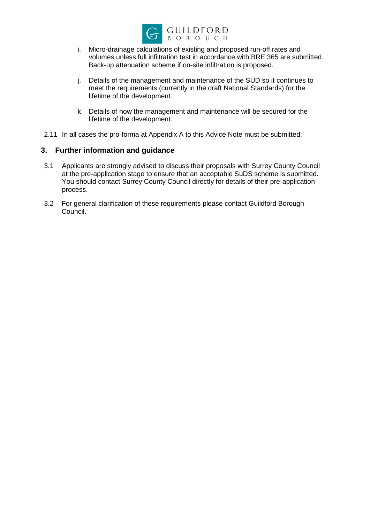

- i. Micro-drainage calculations of existing and proposed run-off rates and volumes unless full infiltration test in accordance with BRE 365 are submitted. Back-up attenuation scheme if on-site infiltration is proposed.
- j. Details of the management and maintenance of the SUD so it continues to meet the requirements (currently in the draft National Standards) for the lifetime of the development.
- k. Details of how the management and maintenance will be secured for the lifetime of the development.
- 2.11 In all cases the pro-forma at Appendix A to this Advice Note must be submitted.

## **3. Further information and guidance**

- 3.1 Applicants are strongly advised to discuss their proposals with Surrey County Council at the pre-application stage to ensure that an acceptable SuDS scheme is submitted. You should contact Surrey County Council directly for details of their pre-application process.
- 3.2 For general clarification of these requirements please contact Guildford Borough Council.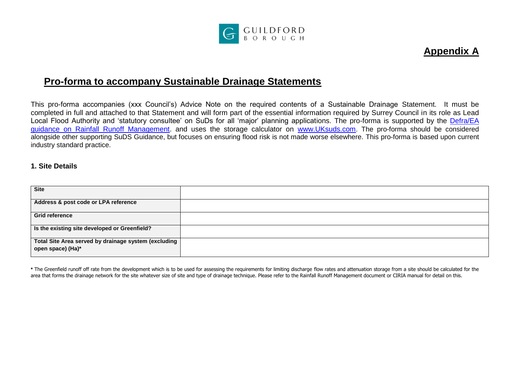

# **Appendix A**

# **Pro-forma to accompany Sustainable Drainage Statements**

This pro-forma accompanies (xxx Council's) Advice Note on the required contents of a Sustainable Drainage Statement. It must be completed in full and attached to that Statement and will form part of the essential information required by Surrey Council in its role as Lead Local Flood Authority and 'statutory consultee' on SuDs for all 'major' planning applications. The pro-forma is supported by the Defra/EA [guidance on Rainfall Runoff Management.](http://evidence.environment-agency.gov.uk/FCERM/Libraries/FCERM_Project_Documents/Rainfall_Runoff_Management_for_Developments_-_Revision_E.sflb.ashx) and uses the storage calculator on [www.UKsuds.com](http://www.uksuds.com/). The pro-forma should be considered alongside other supporting SuDS Guidance, but focuses on ensuring flood risk is not made worse elsewhere. This pro-forma is based upon current industry standard practice.

#### **1. Site Details**

| <b>Site</b>                                                               |  |
|---------------------------------------------------------------------------|--|
| Address & post code or LPA reference                                      |  |
| <b>Grid reference</b>                                                     |  |
| Is the existing site developed or Greenfield?                             |  |
| Total Site Area served by drainage system (excluding<br>open space) (Ha)* |  |

**\*** The Greenfield runoff off rate from the development which is to be used for assessing the requirements for limiting discharge flow rates and attenuation storage from a site should be calculated for the area that forms the drainage network for the site whatever size of site and type of drainage technique. Please refer to the Rainfall Runoff Management document or CIRIA manual for detail on this.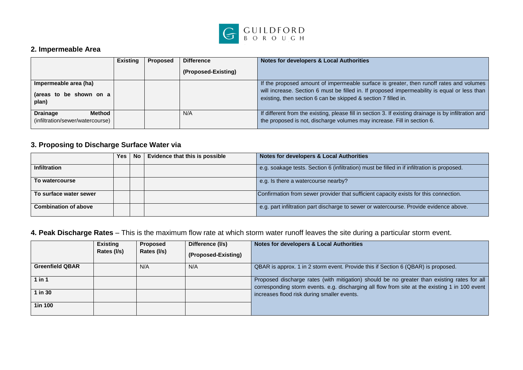

## **2. Impermeable Area**

|                                                               | <b>Existing</b> | Proposed | <b>Difference</b>   | Notes for developers & Local Authorities                                                                                                                                                                                                                  |
|---------------------------------------------------------------|-----------------|----------|---------------------|-----------------------------------------------------------------------------------------------------------------------------------------------------------------------------------------------------------------------------------------------------------|
|                                                               |                 |          | (Proposed-Existing) |                                                                                                                                                                                                                                                           |
| Impermeable area (ha)<br>(areas to be shown on a<br>plan)     |                 |          |                     | If the proposed amount of impermeable surface is greater, then runoff rates and volumes<br>will increase. Section 6 must be filled in. If proposed impermeability is equal or less than<br>existing, then section 6 can be skipped & section 7 filled in. |
| <b>Drainage</b><br>Method<br>(infiltration/sewer/watercourse) |                 |          | N/A                 | If different from the existing, please fill in section 3. If existing drainage is by infiltration and<br>the proposed is not, discharge volumes may increase. Fill in section 6.                                                                          |

# **3. Proposing to Discharge Surface Water via**

|                             | <b>Yes</b> | No | Evidence that this is possible | Notes for developers & Local Authorities                                                    |
|-----------------------------|------------|----|--------------------------------|---------------------------------------------------------------------------------------------|
| <b>Infiltration</b>         |            |    |                                | e.g. soakage tests. Section 6 (infiltration) must be filled in if infiltration is proposed. |
| To watercourse              |            |    |                                | e.g. Is there a watercourse nearby?                                                         |
| To surface water sewer      |            |    |                                | Confirmation from sewer provider that sufficient capacity exists for this connection.       |
| <b>Combination of above</b> |            |    |                                | e.g. part infiltration part discharge to sewer or watercourse. Provide evidence above.      |

# **4. Peak Discharge Rates** – This is the maximum flow rate at which storm water runoff leaves the site during a particular storm event.

|                        | <b>Existing</b><br>Rates (I/s) | <b>Proposed</b><br>Rates (I/s) | Difference (I/s)<br>(Proposed-Existing) | Notes for developers & Local Authorities                                                                                                                                                      |
|------------------------|--------------------------------|--------------------------------|-----------------------------------------|-----------------------------------------------------------------------------------------------------------------------------------------------------------------------------------------------|
| <b>Greenfield QBAR</b> |                                | N/A                            | N/A                                     | QBAR is approx. 1 in 2 storm event. Provide this if Section 6 (QBAR) is proposed.                                                                                                             |
| $1$ in $1$             |                                |                                |                                         | Proposed discharge rates (with mitigation) should be no greater than existing rates for all<br>corresponding storm events. e.g. discharging all flow from site at the existing 1 in 100 event |
| $1$ in $30$            |                                |                                |                                         | increases flood risk during smaller events.                                                                                                                                                   |
| 1in 100                |                                |                                |                                         |                                                                                                                                                                                               |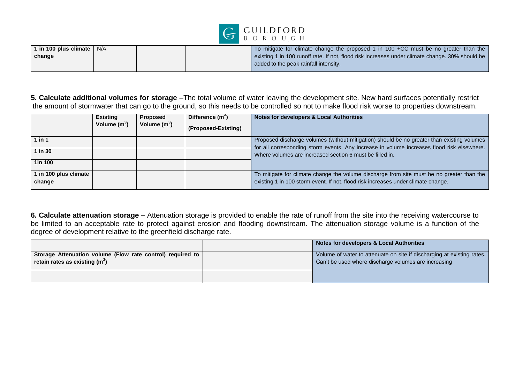

| 1 in 100 plus climate  <br>N/A | To mitigate for climate change the proposed 1 in 100 +CC must be no greater than the            |
|--------------------------------|-------------------------------------------------------------------------------------------------|
| change                         | existing 1 in 100 runoff rate. If not, flood risk increases under climate change. 30% should be |
|                                | added to the peak rainfall intensity.                                                           |

**5. Calculate additional volumes for storage** –The total volume of water leaving the development site. New hard surfaces potentially restrict the amount of stormwater that can go to the ground, so this needs to be controlled so not to make flood risk worse to properties downstream.

|                                 | <b>Existing</b><br>Volume $(m^3)$ | <b>Proposed</b><br>Volume $(m^3)$ | Difference (m <sup>3</sup> )<br>(Proposed-Existing) | <b>Notes for developers &amp; Local Authorities</b>                                                                                                                                      |
|---------------------------------|-----------------------------------|-----------------------------------|-----------------------------------------------------|------------------------------------------------------------------------------------------------------------------------------------------------------------------------------------------|
| 1 in 1                          |                                   |                                   |                                                     | Proposed discharge volumes (without mitigation) should be no greater than existing volumes<br>for all corresponding storm events. Any increase in volume increases flood risk elsewhere. |
| $1$ in $30$                     |                                   |                                   |                                                     | Where volumes are increased section 6 must be filled in.                                                                                                                                 |
| 1in 100                         |                                   |                                   |                                                     |                                                                                                                                                                                          |
| 1 in 100 plus climate<br>change |                                   |                                   |                                                     | To mitigate for climate change the volume discharge from site must be no greater than the<br>existing 1 in 100 storm event. If not, flood risk increases under climate change.           |

**6. Calculate attenuation storage –** Attenuation storage is provided to enable the rate of runoff from the site into the receiving watercourse to be limited to an acceptable rate to protect against erosion and flooding downstream. The attenuation storage volume is a function of the degree of development relative to the greenfield discharge rate.

|                                                                                                | Notes for developers & Local Authorities                                                                                       |
|------------------------------------------------------------------------------------------------|--------------------------------------------------------------------------------------------------------------------------------|
| Storage Attenuation volume (Flow rate control) required to<br>retain rates as existing $(m^3)$ | Volume of water to attenuate on site if discharging at existing rates.<br>Can't be used where discharge volumes are increasing |
|                                                                                                |                                                                                                                                |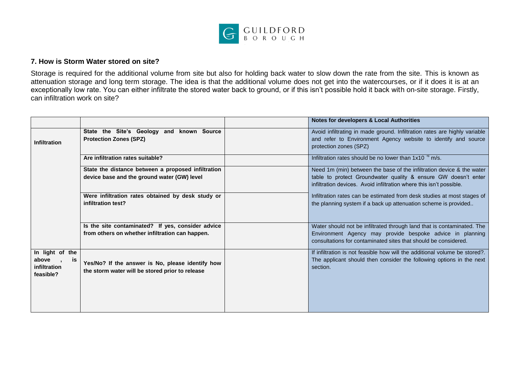

## **7. How is Storm Water stored on site?**

Storage is required for the additional volume from site but also for holding back water to slow down the rate from the site. This is known as attenuation storage and long term storage. The idea is that the additional volume does not get into the watercourses, or if it does it is at an exceptionally low rate. You can either infiltrate the stored water back to ground, or if this isn't possible hold it back with on-site storage. Firstly, can infiltration work on site?

|                                                             |                                                                                                      | <b>Notes for developers &amp; Local Authorities</b>                                                                                                                                                            |
|-------------------------------------------------------------|------------------------------------------------------------------------------------------------------|----------------------------------------------------------------------------------------------------------------------------------------------------------------------------------------------------------------|
| <b>Infiltration</b>                                         | State the Site's Geology and known Source<br><b>Protection Zones (SPZ)</b>                           | Avoid infiltrating in made ground. Infiltration rates are highly variable<br>and refer to Environment Agency website to identify and source<br>protection zones (SPZ)                                          |
|                                                             | Are infiltration rates suitable?                                                                     | Infiltration rates should be no lower than $1x10^{-6}$ m/s.                                                                                                                                                    |
|                                                             | State the distance between a proposed infiltration<br>device base and the ground water (GW) level    | Need 1m (min) between the base of the infiltration device & the water<br>table to protect Groundwater quality & ensure GW doesn't enter<br>infiltration devices. Avoid infiltration where this isn't possible. |
|                                                             | Were infiltration rates obtained by desk study or<br>infiltration test?                              | Infiltration rates can be estimated from desk studies at most stages of<br>the planning system if a back up attenuation scheme is provided                                                                     |
|                                                             | Is the site contaminated? If yes, consider advice<br>from others on whether infiltration can happen. | Water should not be infiltrated through land that is contaminated. The<br>Environment Agency may provide bespoke advice in planning<br>consultations for contaminated sites that should be considered.         |
| In light of the<br>above<br>is<br>infiltration<br>feasible? | Yes/No? If the answer is No, please identify how<br>the storm water will be stored prior to release  | If infiltration is not feasible how will the additional volume be stored?<br>The applicant should then consider the following options in the next<br>section.                                                  |
|                                                             |                                                                                                      |                                                                                                                                                                                                                |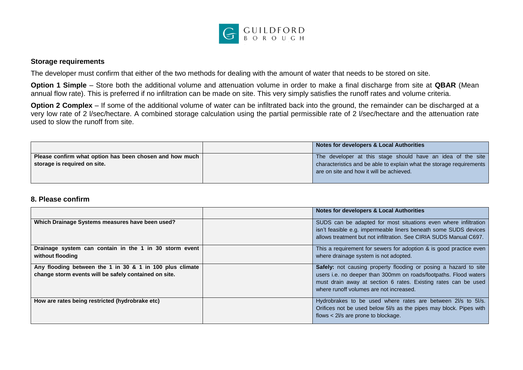

#### **Storage requirements**

The developer must confirm that either of the two methods for dealing with the amount of water that needs to be stored on site.

**Option 1 Simple** – Store both the additional volume and attenuation volume in order to make a final discharge from site at **QBAR** (Mean annual flow rate). This is preferred if no infiltration can be made on site. This very simply satisfies the runoff rates and volume criteria.

**Option 2 Complex** – If some of the additional volume of water can be infiltrated back into the ground, the remainder can be discharged at a very low rate of 2 l/sec/hectare. A combined storage calculation using the partial permissible rate of 2 l/sec/hectare and the attenuation rate used to slow the runoff from site.

|                                                         | Notes for developers & Local Authorities                             |
|---------------------------------------------------------|----------------------------------------------------------------------|
| Please confirm what option has been chosen and how much | The developer at this stage should have an idea of the site          |
| storage is required on site.                            | characteristics and be able to explain what the storage requirements |
|                                                         | are on site and how it will be achieved.                             |
|                                                         |                                                                      |

#### **8. Please confirm**

|                                                                                                                   | <b>Notes for developers &amp; Local Authorities</b>                                                                                                                                                                                               |
|-------------------------------------------------------------------------------------------------------------------|---------------------------------------------------------------------------------------------------------------------------------------------------------------------------------------------------------------------------------------------------|
| Which Drainage Systems measures have been used?                                                                   | SUDS can be adapted for most situations even where infiltration<br>isn't feasible e.g. impermeable liners beneath some SUDS devices<br>allows treatment but not infiltration. See CIRIA SUDS Manual C697.                                         |
| Drainage system can contain in the 1 in 30 storm event<br>without flooding                                        | This a requirement for sewers for adoption & is good practice even<br>where drainage system is not adopted.                                                                                                                                       |
| Any flooding between the 1 in 30 & 1 in 100 plus climate<br>change storm events will be safely contained on site. | Safely: not causing property flooding or posing a hazard to site<br>users i.e. no deeper than 300mm on roads/footpaths. Flood waters<br>must drain away at section 6 rates. Existing rates can be used<br>where runoff volumes are not increased. |
| How are rates being restricted (hydrobrake etc)                                                                   | Hydrobrakes to be used where rates are between 2l/s to 5l/s.<br>Orifices not be used below 5l/s as the pipes may block. Pipes with<br>flows < 2l/s are prone to blockage.                                                                         |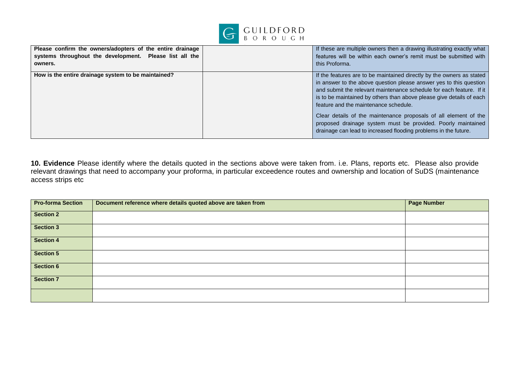

| Please confirm the owners/adopters of the entire drainage<br>systems throughout the development. Please list all the<br>owners. | this Proforma. | If these are multiple owners then a drawing illustrating exactly what<br>features will be within each owner's remit must be submitted with                                                                                                                                                                                                                                                                                                                                                                                                  |
|---------------------------------------------------------------------------------------------------------------------------------|----------------|---------------------------------------------------------------------------------------------------------------------------------------------------------------------------------------------------------------------------------------------------------------------------------------------------------------------------------------------------------------------------------------------------------------------------------------------------------------------------------------------------------------------------------------------|
| How is the entire drainage system to be maintained?                                                                             |                | If the features are to be maintained directly by the owners as stated<br>in answer to the above question please answer yes to this question<br>and submit the relevant maintenance schedule for each feature. If it<br>is to be maintained by others than above please give details of each<br>feature and the maintenance schedule.<br>Clear details of the maintenance proposals of all element of the<br>proposed drainage system must be provided. Poorly maintained<br>drainage can lead to increased flooding problems in the future. |

**10. Evidence** Please identify where the details quoted in the sections above were taken from. i.e. Plans, reports etc. Please also provide relevant drawings that need to accompany your proforma, in particular exceedence routes and ownership and location of SuDS (maintenance access strips etc

| <b>Pro-forma Section</b> | Document reference where details quoted above are taken from | <b>Page Number</b> |
|--------------------------|--------------------------------------------------------------|--------------------|
| <b>Section 2</b>         |                                                              |                    |
| <b>Section 3</b>         |                                                              |                    |
| <b>Section 4</b>         |                                                              |                    |
| <b>Section 5</b>         |                                                              |                    |
| <b>Section 6</b>         |                                                              |                    |
| <b>Section 7</b>         |                                                              |                    |
|                          |                                                              |                    |